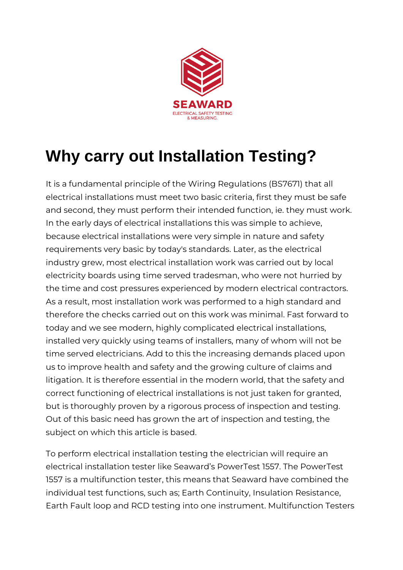

## **Why carry out Installation Testing?**

It is a fundamental principle of the Wiring Regulations (BS7671) that all electrical installations must meet two basic criteria, first they must be safe and second, they must perform their intended function, ie. they must work. In the early days of electrical installations this was simple to achieve, because electrical installations were very simple in nature and safety requirements very basic by today's standards. Later, as the electrical industry grew, most electrical installation work was carried out by local electricity boards using time served tradesman, who were not hurried by the time and cost pressures experienced by modern electrical contractors. As a result, most installation work was performed to a high standard and therefore the checks carried out on this work was minimal. Fast forward to today and we see modern, highly complicated electrical installations, installed very quickly using teams of installers, many of whom will not be time served electricians. Add to this the increasing demands placed upon us to improve health and safety and the growing culture of claims and litigation. It is therefore essential in the modern world, that the safety and correct functioning of electrical installations is not just taken for granted, but is thoroughly proven by a rigorous process of inspection and testing. Out of this basic need has grown the art of inspection and testing, the subject on which this article is based.

To perform electrical installation testing the electrician will require an electrical installation tester like Seaward's PowerTest 1557. The PowerTest 1557 is a multifunction tester, this means that Seaward have combined the individual test functions, such as; Earth Continuity, Insulation Resistance, Earth Fault loop and RCD testing into one instrument. Multifunction Testers